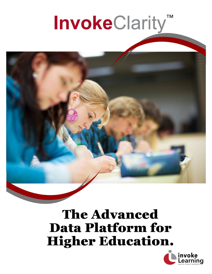# InvokeClarity<sup>™</sup>



## The Advanced Data Platform for Higher Education.

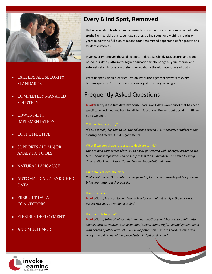

- EXCEEDS ALL SECURITY STANDARDS
- COMPLETELY MANAGED SOLUTION
- LOWEST-LIFT IMPLEMENTATION
- COST EFFECTIVE
- SUPPORTS ALL MAJOR ANALYTIC TOOLS
- NATURAL LANGAUGE
- AUTOMATICALLY ENRICHED DATA
- PREBUILT DATA **CONNECTORS**
- FLEXIBLE DEPLOYMENT
- AND MUCH MORE!

### **Every Blind Spot, Removed**

Higher education leaders need answers to mission-critical questions now, but halftruths from partial data leave huge strategic blind spots. And waiting months or years to paint the full picture means countless missed opportunities for growth and student outcomes.

InvokeClarity removes those blind spots in days. Dazzlingly fast, secure, and cloudbased, our data platform for higher education finally brings all your internal and external data into one comprehensive location - the ultimate source of truth.

What happens when higher education institutions get real answers to every burning question? Find out - and discover just how far you can go.

### **Frequently Asked Questions**

**InvokeClarity** is the first data lakehouse (data lake + data warehouse) that has been specifically designed and built for Higher Education. We've spent decades in Higher Ed so we get it:

*It's also a really big deal to us. Our solutions exceed EVERY security standard in the industry and meets FERPA requirements.* 

### What if we don't have resources to dedicate to this?

*Our pre‐built connectors allow you to easily get started with all major higher ed sys‐ tems. Some integraƟons can be setup in less than 5 minutes! It's simple to setup Canvas, Blackboard Learn, Zoom, Banner, PeopleSoft and more.* 

You're not alone! Our solution is designed to fit into environments just like yours and *bring your data together quickly.* 

**InvokeClarity** *is priced to be a "no brainer" for schools. It really is the quick‐est, easiest ROI you're ever going to find.* 

**InvokeClarity** *takes all of your data and automaƟcally enriches it with public data sources such as weather, socioeconomic factors, crime, traffic, unemployment along with dozens of other data sets. THEN we flatten this out so it's easily queried and ready to provide you with unprecedented insight on day one!* 



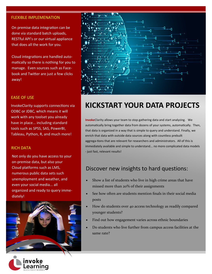### FLEXIBLE IMPLEMENATION

On premise data integration can be done via standard batch uploads, RESTful API's or our virtual appliance that does all the work for you.

Cloud integrations are handled automatically so there is nothing for you to manage. Even sources such as Facebook and Twitter are just a few clicks away!

### EASE OF USE

InvokeClarity supports connections via ODBC or JDBC, which means it will work with any toolset you already have in place... including standard tools such as SPSS, SAS, PowerBI, Tableau, Python, R, and much more!

### RICH DATA

Not only do you have access to your on-premise data, but also your Cloud platforms such as LMS, numerous public data sets such unemployment and weather, and even your social media... all organized and ready to query immediately!





### **KICKSTART YOUR DATA PROJECTS**

**InvokeClarity** allows your team to stop gathering data and start analyzing. We automatically bring together data from dozens of your systems, automatically. Then, that data is organized in a way that is simple to query and understand. Finally, we enrich that data with outside data sources along with countless prebuilt aggrega-tions that are relevant for researchers and administrators. All of this is immediately available and simple to understand... no more complicated data models - just fast, relevant results!

### Discover new insights to hard questions:

- Show a list of students who live in high crime areas that have missed more than 20% of their assignments
- See how often are students mention finals in their social media posts
- How do students over 40 access technology as readily compared younger students?
- Find out how engagement varies across ethnic boundaries
- Do students who live further from campus access facilities at the same rate?